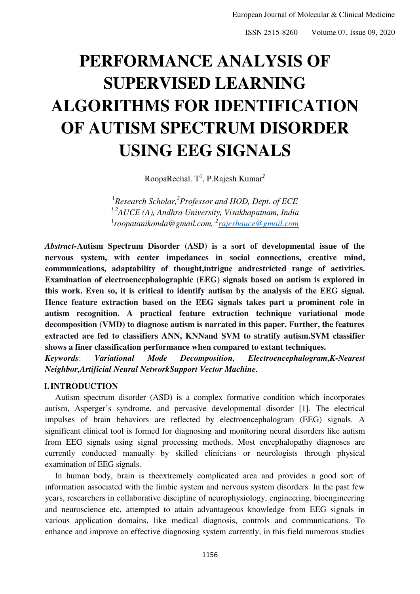# **PERFORMANCE ANALYSIS OF SUPERVISED LEARNING ALGORITHMS FOR IDENTIFICATION OF AUTISM SPECTRUM DISORDER USING EEG SIGNALS**

RoopaRechal. T<sup>1</sup>, P.Rajesh Kumar<sup>2</sup>

1 *Research Scholar,<sup>2</sup> Professor and HOD, Dept. of ECE 1,2AUCE (A), Andhra University, Visakhapatnam, India*  1 *[roopatanikonda@gmail.com,](mailto:roopatanikonda@gmail.com) <sup>2</sup> [rajeshauce@gmail.com](mailto:rajeshauce@gmail.com)*

*Abstract-***Autism Spectrum Disorder (ASD) is a sort of developmental issue of the nervous system, with center impedances in social connections, creative mind, communications, adaptability of thought,intrigue andrestricted range of activities. Examination of electroencephalographic (EEG) signals based on autism is explored in this work. Even so, it is critical to identify autism by the analysis of the EEG signal. Hence feature extraction based on the EEG signals takes part a prominent role in autism recognition. A practical feature extraction technique variational mode decomposition (VMD) to diagnose autism is narrated in this paper. Further, the features extracted are fed to classifiers ANN, KNNand SVM to stratify autism.SVM classifier shows a finer classification performance when compared to extant techniques.**

*Keywords*: *Variational Mode Decomposition, Electroencephalogram,K-Nearest Neighbor,Artificial Neural NetworkSupport Vector Machine.*

### **I.INTRODUCTION**

Autism spectrum disorder (ASD) is a complex formative condition which incorporates autism, Asperger's syndrome, and pervasive developmental disorder [1]. The electrical impulses of brain behaviors are reflected by electroencephalogram (EEG) signals. A significant clinical tool is formed for diagnosing and monitoring neural disorders like autism from EEG signals using signal processing methods. Most encephalopathy diagnoses are currently conducted manually by skilled clinicians or neurologists through physical examination of EEG signals.

In human body, brain is theextremely complicated area and provides a good sort of information associated with the limbic system and nervous system disorders. In the past few years, researchers in collaborative discipline of neurophysiology, engineering, bioengineering and neuroscience etc, attempted to attain advantageous knowledge from EEG signals in various application domains, like medical diagnosis, controls and communications. To enhance and improve an effective diagnosing system currently, in this field numerous studies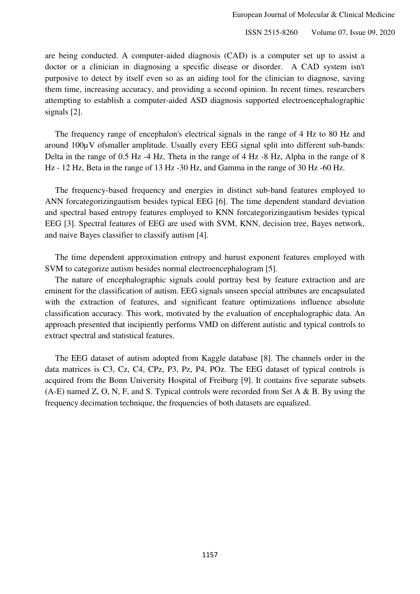are being conducted. A computer-aided diagnosis (CAD) is a computer set up to assist a doctor or a clinician in diagnosing a specific disease or disorder. A CAD system isn't purposive to detect by itself even so as an aiding tool for the clinician to diagnose, saving them time, increasing accuracy, and providing a second opinion. In recent times, researchers attempting to establish a computer-aided ASD diagnosis supported electroencephalographic signals [2].

The frequency range of encephalon's electrical signals in the range of 4 Hz to 80 Hz and around 100µV ofsmaller amplitude. Usually every EEG signal split into different sub-bands: Delta in the range of 0.5 Hz -4 Hz, Theta in the range of 4 Hz -8 Hz, Alpha in the range of 8 Hz - 12 Hz, Beta in the range of 13 Hz -30 Hz, and Gamma in the range of 30 Hz -60 Hz.

The frequency-based frequency and energies in distinct sub-band features employed to ANN forcategorizingautism besides typical EEG [6]. The time dependent standard deviation and spectral based entropy features employed to KNN forcategorizingautism besides typical EEG [3]. Spectral features of EEG are used with SVM, KNN, decision tree, Bayes network, and naive Bayes classifier to classify autism [4].

The time dependent approximation entropy and hurust exponent features employed with SVM to categorize autism besides normal electroencephalogram [5].

The nature of encephalographic signals could portray best by feature extraction and are eminent for the classification of autism. EEG signals unseen special attributes are encapsulated with the extraction of features, and significant feature optimizations influence absolute classification accuracy. This work, motivated by the evaluation of encephalographic data. An approach presented that incipiently performs VMD on different autistic and typical controls to extract spectral and statistical features.

The EEG dataset of autism adopted from Kaggle database [8]. The channels order in the data matrices is C3, Cz, C4, CPz, P3, Pz, P4, POz. The EEG dataset of typical controls is acquired from the Bonn University Hospital of Freiburg [9]. It contains five separate subsets  $(A-E)$  named Z, O, N, F, and S. Typical controls were recorded from Set A & B. By using the frequency decimation technique, the frequencies of both datasets are equalized.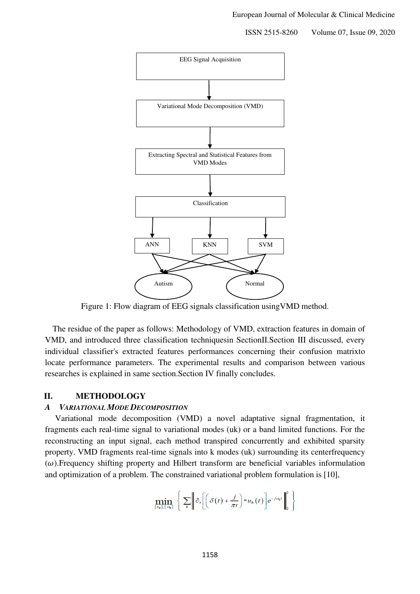

Figure 1: Flow diagram of EEG signals classification usingVMD method.

The residue of the paper as follows: Methodology of VMD, extraction features in domain of VMD, and introduced three classification techniquesin SectionII.Section III discussed, every individual classifier's extracted features performances concerning their confusion matrixto locate performance parameters. The experimental results and comparison between various researches is explained in same section.Section IV finally concludes.

#### **II. METHODOLOGY**

#### *A VARIATIONAL MODE DECOMPOSITION*

Variational mode decomposition (VMD) a novel adaptative signal fragmentation, it fragments each real-time signal to variational modes (uk) or a band limited functions. For the reconstructing an input signal, each method transpired concurrently and exhibited sparsity property. VMD fragments real-time signals into k modes (uk) surrounding its centerfrequency  $(\omega)$ . Frequency shifting property and Hilbert transform are beneficial variables informulation and optimization of a problem. The constrained variational problem formulation is [10],

$$
\min_{\{u_k\},\{\omega_k\}}\left\{\sum_k\middle\|\partial_t\left[\left(\delta(t)+\frac{j}{\pi t}\right)*u_k(t)\right]e^{-j\omega_k t}\right\|_2^2\right\}
$$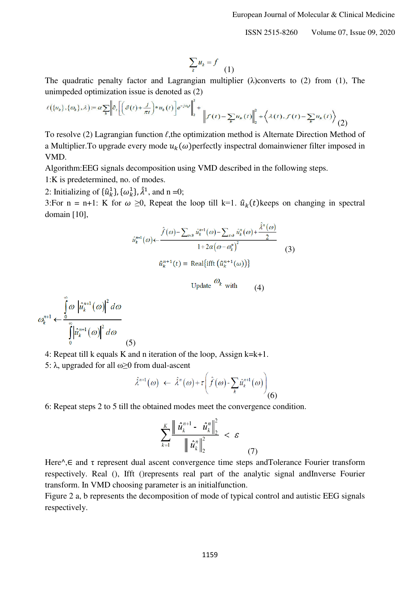$$
\sum_k u_k = f \quad (1)
$$

The quadratic penalty factor and Lagrangian multiplier ( $\lambda$ )converts to (2) from (1), The unimpeded optimization issue is denoted as (2)

$$
\ell(\{u_k\}, \{\omega_k\}, \lambda) := \alpha \sum_k \left\| \hat{\sigma}_t \left[ \left( \delta(t) + \frac{j}{\pi t} \right) * u_k(t) \right] e^{-j\omega_k t} \right\|_2^2 + \left\| f(t) - \sum_k u_k(t) \right\|_2^2 + \left\langle \lambda(t), f(t) - \sum_k u_k(t) \right\rangle (2)
$$

To resolve (2) Lagrangian function *ℓ*,the optimization method is Alternate Direction Method of a Multiplier. To upgrade every mode  $u_k(\omega)$  perfectly inspectral domainwiener filter imposed in VMD.

Algorithm:EEG signals decomposition using VMD described in the following steps.

1:K is predetermined, no. of modes.

2: Initializing of  $\{\hat{u}_k^1\}$ ,  $\{\omega_k^1\}$ ,  $\lambda^1$ , and n =0;

3:For n = n+1: K for  $\omega \ge 0$ , Repeat the loop till k=1.  $\hat{u}_k(t)$ keeps on changing in spectral domain [10],

$$
\hat{u}_k^{n+1}(\omega) \leftarrow \frac{\hat{f}(\omega) - \sum_{i < k} \hat{u}_k^{n+1}(\omega) - \sum_{i > k} \hat{u}_k^n(\omega) + \frac{\lambda^n(\omega)}{2}}{1 + 2\alpha(\omega - \omega_k^n)^2} \tag{3}
$$
\n
$$
\hat{u}_k^{n+1}(t) = \text{Real}\{\text{ifft}\left(\hat{u}_k^{n+1}(\omega)\right)\}
$$

Update 
$$
\omega_k
$$
 with (4)

$$
\omega_k^{n+1} \leftarrow \frac{\int\limits_0^\infty \omega \left| \hat{u}_k^{n+1}(\omega) \right|^2 d\omega}{\int\limits_0^\infty \left| \hat{u}_k^{n+1}(\omega) \right|^2 d\omega}
$$
\n(5)

- 4: Repeat till k equals K and n iteration of the loop, Assign k=k+1.
- 5:  $\lambda$ , upgraded for all  $\omega \geq 0$  from dual-ascent

$$
\hat{\lambda}^{n+1}(\omega) \leftarrow \hat{\lambda}^n(\omega) + \tau \bigg(\hat{f}(\omega) - \sum_k \hat{u}_k^{n+1}(\omega)\bigg) \tag{6}
$$

6: Repeat steps 2 to 5 till the obtained modes meet the convergence condition.

$$
\sum_{k=1}^{K} \frac{\left\| \hat{u}_{k}^{n+1} - \hat{u}_{k}^{n} \right\|_{2}^{2}}{\left\| \hat{u}_{k}^{n} \right\|_{2}^{2}} < \varepsilon \tag{7}
$$

Here<sup> $\wedge$ </sup>, E and τ represent dual ascent convergence time steps andTolerance Fourier transform respectively. Real (), Ifft ()represents real part of the analytic signal andInverse Fourier transform. In VMD choosing parameter is an initialfunction.

Figure 2 a, b represents the decomposition of mode of typical control and autistic EEG signals respectively.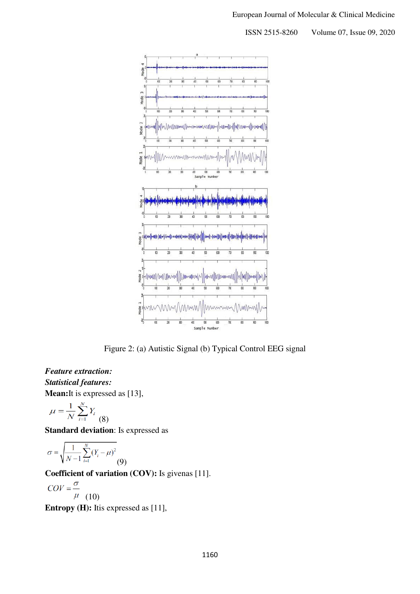

Figure 2: (a) Autistic Signal (b) Typical Control EEG signal

# *Feature extraction: Statistical features:*  **Mean:**It is expressed as [13],

$$
\mu = \frac{1}{N} \sum_{i=1}^{N} Y_i
$$
 (8)

**Standard deviation**: Is expressed as

$$
\sigma = \sqrt{\frac{1}{N-1} \sum_{i=1}^{N} (Y_i - \mu)^2}
$$
(9)

**Coefficient of variation (COV):** Is givenas [11].

$$
COV = \frac{\sigma}{\mu} \quad (10)
$$

**Entropy (H):** Itis expressed as [11],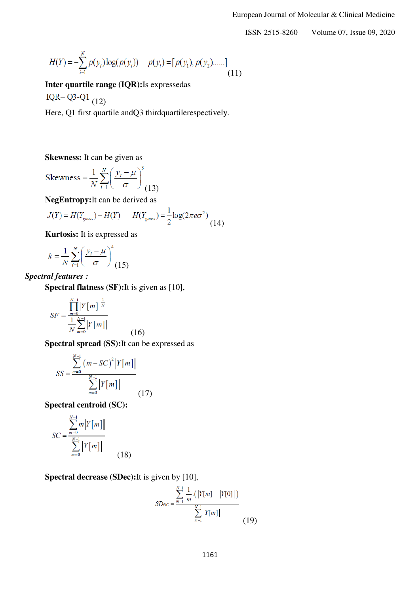$$
H(Y) = -\sum_{i=1}^{N} p(y_i) \log(p(y_i)) \quad p(y_i) = [p(y_1), p(y_2) \dots] \tag{11}
$$

**Inter quartile range (IQR):**Is expressedas

IQR= $Q3-Q1$  (12)

Here, Q1 first quartile and Q3 third quartilerespectively.

**Skewness:** It can be given as

Skewness = 
$$
\frac{1}{N} \sum_{i=1}^{N} \left( \frac{y_i - \mu}{\sigma} \right)^3
$$
(13)

**NegEntropy:**It can be derived as

$$
J(Y) = H(Y_{\text{gauss}}) - H(Y) \qquad H(Y_{\text{gauss}}) = \frac{1}{2} \log(2\pi e \sigma^2) \tag{14}
$$

**Kurtosis:** It is expressed as

$$
k = \frac{1}{N} \sum_{i=1}^{N} \left( \frac{y_i - \mu}{\sigma} \right)^4 \tag{15}
$$

# *Spectral features :*

**Spectral flatness (SF):**It is given as [10],

$$
SF = \frac{\prod_{m=0}^{N-1} \left| Y[m] \right|^{\frac{1}{N}}}{\frac{1}{N} \sum_{m=0}^{N-1} \left| Y[m] \right|}
$$

**Spectral spread (SS):**It can be expressed as

(16)

$$
SS = \frac{\sum_{m=0}^{N-1} (m - SC)^2 |Y[m]|}{\sum_{m=0}^{N-1} |Y[m]|}
$$
(17)

**Spectral centroid (SC):**

$$
SC = \frac{\sum_{m=0}^{N-1} m \left| Y[m] \right|}{\sum_{m=0}^{N-1} \left| Y[m] \right|}
$$
(18)

**Spectral decrease (SDec):**It is given by [10],

$$
SDec = \frac{\sum_{m=1}^{N-1} \frac{1}{m} \cdot (|Y[m]| - |Y[0]|)}{\sum_{m=1}^{N-1} |Y[m]|}
$$
(19)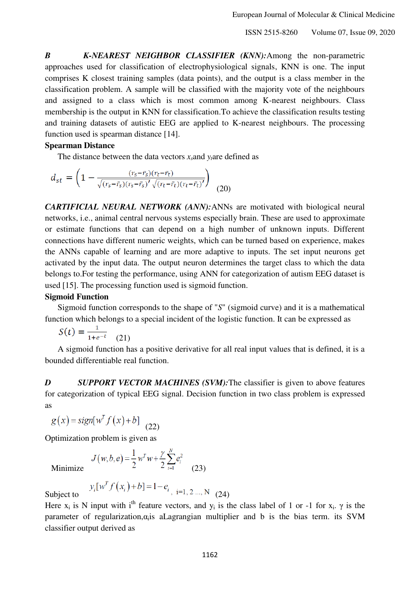*B K-NEAREST NEIGHBOR CLASSIFIER (KNN):*Among the non-parametric approaches used for classification of electrophysiological signals, KNN is one. The input comprises K closest training samples (data points), and the output is a class member in the classification problem. A sample will be classified with the majority vote of the neighbours and assigned to a class which is most common among K-nearest neighbours. Class membership is the output in KNN for classification.To achieve the classification results testing and training datasets of autistic EEG are applied to K-nearest neighbours. The processing function used is spearman distance [14].

#### **Spearman Distance**

The distance between the data vectors  $x_s$  and  $y_t$  are defined as

$$
d_{st} = \left(1 - \frac{(r_s - \bar{r}_s)(r_t - \bar{r}_t)}{\sqrt{(r_s - \bar{r}_s)(r_s - \bar{r}_s)'\sqrt{(r_t - \bar{r}_t)(r_t - \bar{r}_t)'}\}}\right)
$$
(20)

*CARTIFICIAL NEURAL NETWORK (ANN):*ANNs are motivated with biological neural networks, i.e., animal central nervous systems especially brain. These are used to approximate or estimate functions that can depend on a high number of unknown inputs. Different connections have different numeric weights, which can be turned based on experience, makes the ANNs capable of learning and are more adaptive to inputs. The set input neurons get activated by the input data. The output neuron determines the target class to which the data belongs to.For testing the performance, using ANN for categorization of autism EEG dataset is used [15]. The processing function used is sigmoid function.

#### **Sigmoid Function**

Sigmoid function corresponds to the shape of "*S*" (sigmoid curve) and it is a mathematical function which belongs to a special incident of the logistic function. It can be expressed as

$$
S(t) = \frac{1}{1 + e^{-t}} \quad (21)
$$

A sigmoid function has a positive derivative for all real input values that is defined, it is a bounded differentiable real function.

*D* SUPPORT VECTOR MACHINES (SVM): The classifier is given to above features for categorization of typical EEG signal. Decision function in two class problem is expressed as

$$
g(x) = sign[wT f(x) + b]
$$
 (22)

Optimization problem is given as

Minimize 
$$
J(w, b, e) = \frac{1}{2} w^T w + \frac{\gamma}{2} \sum_{i=1}^{N} e_i^2
$$
 (23)

$$
y_i[w^T f(x_i) + b] = 1 - e_i, i = 1, 2 ..., N \quad (24)
$$

Subject to

Here  $x_i$  is N input with i<sup>th</sup> feature vectors, and  $y_i$  is the class label of 1 or -1 for  $x_i$ .  $\gamma$  is the parameter of regularization, $\alpha_i$  is aLagrangian multiplier and b is the bias term. its SVM classifier output derived as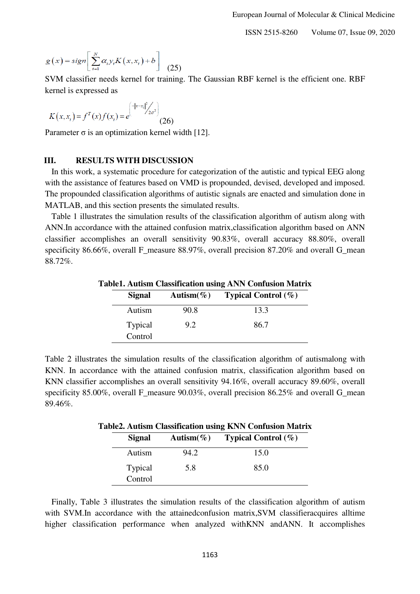$$
g(x) = sign \left[ \sum_{i=1}^{N} \alpha_i y_i K(x, x_i) + b \right]
$$
 (25)

SVM classifier needs kernel for training. The Gaussian RBF kernel is the efficient one. RBF kernel is expressed as

$$
K(x, x_i) = f^T(x) f(x_i) = e^{\left(-\|x - x_i\|^2 / 2\sigma^2\right)} \tag{26}
$$

Parameter  $\sigma$  is an optimization kernel width [12].

#### **III. RESULTS WITH DISCUSSION**

In this work, a systematic procedure for categorization of the autistic and typical EEG along with the assistance of features based on VMD is propounded, devised, developed and imposed. The propounded classification algorithms of autistic signals are enacted and simulation done in MATLAB, and this section presents the simulated results.

Table 1 illustrates the simulation results of the classification algorithm of autism along with ANN.In accordance with the attained confusion matrix,classification algorithm based on ANN classifier accomplishes an overall sensitivity 90.83%, overall accuracy 88.80%, overall specificity 86.66%, overall F\_measure 88.97%, overall precision 87.20% and overall G\_mean 88.72%.

| <b>Table1. Autism Classification using ANN Confusion Matrix</b> |                    |      |                                  |  |
|-----------------------------------------------------------------|--------------------|------|----------------------------------|--|
|                                                                 | Signal             |      | Autism(%) Typical Control $(\%)$ |  |
|                                                                 | Autism             | 90.8 | 13.3                             |  |
|                                                                 | Typical<br>Control | 9.2  | 86.7                             |  |

Table 2 illustrates the simulation results of the classification algorithm of autismalong with KNN. In accordance with the attained confusion matrix, classification algorithm based on KNN classifier accomplishes an overall sensitivity 94.16%, overall accuracy 89.60%, overall specificity 85.00%, overall F\_measure 90.03%, overall precision 86.25% and overall G\_mean 89.46%.

| Table2. Autism Classification using KNN Confusion Matrix |      |                                   |  |
|----------------------------------------------------------|------|-----------------------------------|--|
| Signal                                                   |      | Autism(%) Typical Control $(\% )$ |  |
| Autism                                                   | 94.2 | 15.0                              |  |
| <b>Typical</b>                                           | 5.8  | 85.0                              |  |
| Control                                                  |      |                                   |  |

Finally, Table 3 illustrates the simulation results of the classification algorithm of autism with SVM.In accordance with the attainedconfusion matrix,SVM classifieracquires alltime higher classification performance when analyzed withKNN andANN. It accomplishes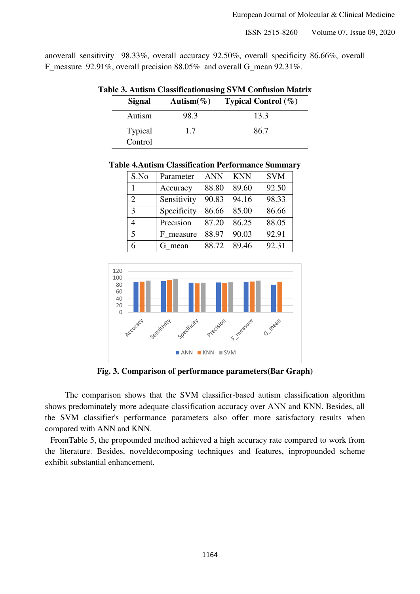anoverall sensitivity 98.33%, overall accuracy 92.50%, overall specificity 86.66%, overall F\_measure 92.91%, overall precision 88.05% and overall G\_mean 92.31%.

| Table 3. Autism Classificationusing SVM Confusion Matrix |      |                                   |  |  |
|----------------------------------------------------------|------|-----------------------------------|--|--|
| Signal                                                   |      | Autism(%) Typical Control $(\% )$ |  |  |
| Autism                                                   | 98.3 | 13.3                              |  |  |
| <b>Typical</b><br>Control                                | 1.7  | 86.7                              |  |  |

**Table 4.Autism Classification Performance Summary** 

| S.No           | Parameter   | <b>ANN</b> | <b>KNN</b> | <b>SVM</b> |
|----------------|-------------|------------|------------|------------|
|                | Accuracy    | 88.80      | 89.60      | 92.50      |
| $\overline{2}$ | Sensitivity | 90.83      | 94.16      | 98.33      |
| $\mathbf{3}$   | Specificity | 86.66      | 85.00      | 86.66      |
|                | Precision   | 87.20      | 86.25      | 88.05      |
| 5              | F measure   | 88.97      | 90.03      | 92.91      |
| 6              | G mean      | 88.72      | 89.46      | 92.31      |



**Fig. 3. Comparison of performance parameters(Bar Graph)** 

The comparison shows that the SVM classifier-based autism classification algorithm shows predominately more adequate classification accuracy over ANN and KNN. Besides, all the SVM classifier's performance parameters also offer more satisfactory results when compared with ANN and KNN.

FromTable 5, the propounded method achieved a high accuracy rate compared to work from the literature. Besides, noveldecomposing techniques and features, inpropounded scheme exhibit substantial enhancement.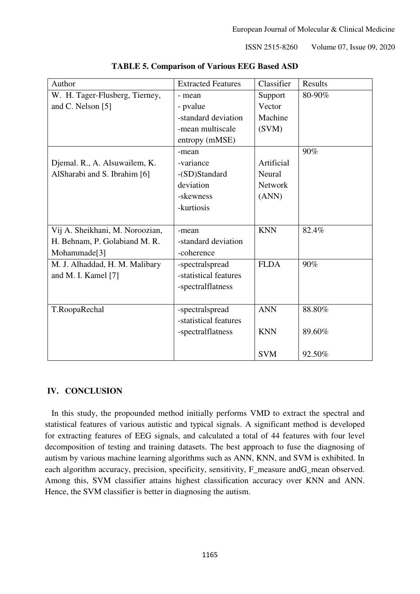| Author                          | <b>Extracted Features</b> | Classifier     | Results |
|---------------------------------|---------------------------|----------------|---------|
| W. H. Tager-Flusberg, Tierney,  | - mean                    | Support        | 80-90%  |
| and C. Nelson [5]               | - pvalue                  | Vector         |         |
|                                 | -standard deviation       | Machine        |         |
|                                 | -mean multiscale          | (SVM)          |         |
|                                 | entropy (mMSE)            |                |         |
|                                 | -mean                     |                | 90%     |
| Djemal. R., A. Alsuwailem, K.   | -variance                 | Artificial     |         |
| AlSharabi and S. Ibrahim [6]    | -(SD)Standard             | Neural         |         |
|                                 | deviation                 | <b>Network</b> |         |
|                                 | -skewness                 | (ANN)          |         |
|                                 | -kurtiosis                |                |         |
|                                 |                           |                |         |
| Vij A. Sheikhani, M. Noroozian, | -mean                     | <b>KNN</b>     | 82.4%   |
| H. Behnam, P. Golabiand M. R.   | -standard deviation       |                |         |
| Mohammade <sup>[3]</sup>        | -coherence                |                |         |
| M. J. Alhaddad, H. M. Malibary  | -spectralspread           | <b>FLDA</b>    | 90%     |
| and M. I. Kamel [7]             | -statistical features     |                |         |
|                                 | -spectralflatness         |                |         |
|                                 |                           |                |         |
| T.RoopaRechal                   | -spectralspread           | <b>ANN</b>     | 88.80%  |
|                                 | -statistical features     |                |         |
|                                 | -spectralflatness         | <b>KNN</b>     | 89.60%  |
|                                 |                           |                |         |
|                                 |                           | <b>SVM</b>     | 92.50%  |

**TABLE 5. Comparison of Various EEG Based ASD** 

# **IV. CONCLUSION**

In this study, the propounded method initially performs VMD to extract the spectral and statistical features of various autistic and typical signals. A significant method is developed for extracting features of EEG signals, and calculated a total of 44 features with four level decomposition of testing and training datasets. The best approach to fuse the diagnosing of autism by various machine learning algorithms such as ANN, KNN, and SVM is exhibited. In each algorithm accuracy, precision, specificity, sensitivity, F\_measure andG\_mean observed. Among this, SVM classifier attains highest classification accuracy over KNN and ANN. Hence, the SVM classifier is better in diagnosing the autism.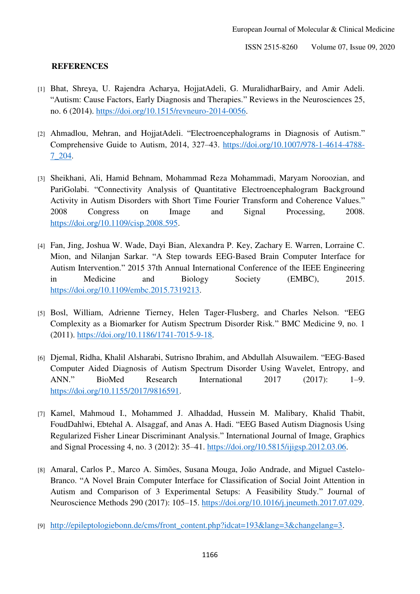## **REFERENCES**

- [1] Bhat, Shreya, U. Rajendra Acharya, HojjatAdeli, G. MuralidharBairy, and Amir Adeli. "Autism: Cause Factors, Early Diagnosis and Therapies." Reviews in the Neurosciences 25, no. 6 (2014). [https://doi.org/10.1515/revneuro-2014-0056.](https://doi.org/10.1515/revneuro-2014-0056)
- [2] Ahmadlou, Mehran, and HojjatAdeli. "Electroencephalograms in Diagnosis of Autism." Comprehensive Guide to Autism, 2014, 327–43. [https://doi.org/10.1007/978-1-4614-4788-](https://doi.org/10.1007/978-1-4614-4788-7_204) [7\\_204.](https://doi.org/10.1007/978-1-4614-4788-7_204)
- [3] Sheikhani, Ali, Hamid Behnam, Mohammad Reza Mohammadi, Maryam Noroozian, and PariGolabi. "Connectivity Analysis of Quantitative Electroencephalogram Background Activity in Autism Disorders with Short Time Fourier Transform and Coherence Values." 2008 Congress on Image and Signal Processing, 2008. [https://doi.org/10.1109/cisp.2008.595.](https://doi.org/10.1109/cisp.2008.595)
- [4] Fan, Jing, Joshua W. Wade, Dayi Bian, Alexandra P. Key, Zachary E. Warren, Lorraine C. Mion, and Nilanjan Sarkar. "A Step towards EEG-Based Brain Computer Interface for Autism Intervention." 2015 37th Annual International Conference of the IEEE Engineering in Medicine and Biology Society (EMBC), 2015. [https://doi.org/10.1109/embc.2015.7319213.](https://doi.org/10.1109/embc.2015.7319213)
- [5] Bosl, William, Adrienne Tierney, Helen Tager-Flusberg, and Charles Nelson. "EEG Complexity as a Biomarker for Autism Spectrum Disorder Risk." BMC Medicine 9, no. 1 (2011). [https://doi.org/10.1186/1741-7015-9-18.](https://doi.org/10.1186/1741-7015-9-18)
- [6] Djemal, Ridha, Khalil Alsharabi, Sutrisno Ibrahim, and Abdullah Alsuwailem. "EEG-Based Computer Aided Diagnosis of Autism Spectrum Disorder Using Wavelet, Entropy, and ANN." BioMed Research International 2017 (2017): 1–9. [https://doi.org/10.1155/2017/9816591.](https://doi.org/10.1155/2017/9816591)
- [7] Kamel, Mahmoud I., Mohammed J. Alhaddad, Hussein M. Malibary, Khalid Thabit, FoudDahlwi, Ebtehal A. Alsaggaf, and Anas A. Hadi. "EEG Based Autism Diagnosis Using Regularized Fisher Linear Discriminant Analysis." International Journal of Image, Graphics and Signal Processing 4, no. 3 (2012): 35–41. [https://doi.org/10.5815/ijigsp.2012.03.06.](https://doi.org/10.5815/ijigsp.2012.03.06)
- [8] Amaral, Carlos P., Marco A. Simões, Susana Mouga, João Andrade, and Miguel Castelo-Branco. "A Novel Brain Computer Interface for Classification of Social Joint Attention in Autism and Comparison of 3 Experimental Setups: A Feasibility Study." Journal of Neuroscience Methods 290 (2017): 105–15. [https://doi.org/10.1016/j.jneumeth.2017.07.029.](https://doi.org/10.1016/j.jneumeth.2017.07.029)
- [9] [http://epileptologiebonn.de/cms/front\\_content.php?idcat=193&lang=3&changelang=3.](http://epileptologiebonn.de/cms/front_content.php?idcat=193&lang=3&changelang=3)